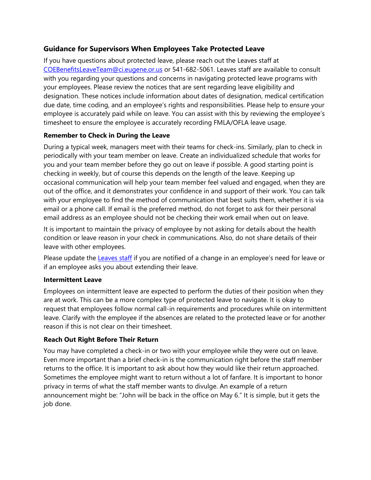# **Guidance for Supervisors When Employees Take Protected Leave**

If you have questions about protected leave, please reach out the Leaves staff at [COEBenefitsLeaveTeam@ci.eugene.or.us](mailto:COEBenefitsLeaveTeam@ci.eugene.or.us) or 541-682-5061. Leaves staff are available to consult with you regarding your questions and concerns in navigating protected leave programs with your employees. Please review the notices that are sent regarding leave eligibility and designation. These notices include information about dates of designation, medical certification due date, time coding, and an employee's rights and responsibilities. Please help to ensure your employee is accurately paid while on leave. You can assist with this by reviewing the employee's timesheet to ensure the employee is accurately recording FMLA/OFLA leave usage.

## **Remember to Check in During the Leave**

During a typical week, managers meet with their teams for check-ins. Similarly, plan to check in periodically with your team member on leave. Create an individualized schedule that works for you and your team member before they go out on leave if possible. A good starting point is checking in weekly, but of course this depends on the length of the leave. Keeping up occasional communication will help your team member feel valued and engaged, when they are out of the office, and it demonstrates your confidence in and support of their work. You can talk with your employee to find the method of communication that best suits them, whether it is via email or a phone call. If email is the preferred method, do not forget to ask for their personal email address as an employee should not be checking their work email when out on leave.

It is important to maintain the privacy of employee by not asking for details about the health condition or leave reason in your check in communications. Also, do not share details of their leave with other employees.

Please update the **Leaves staff** if you are notified of a change in an employee's need for leave or if an employee asks you about extending their leave.

### **Intermittent Leave**

Employees on intermittent leave are expected to perform the duties of their position when they are at work. This can be a more complex type of protected leave to navigate. It is okay to request that employees follow normal call-in requirements and procedures while on intermittent leave. Clarify with the employee if the absences are related to the protected leave or for another reason if this is not clear on their timesheet.

## **Reach Out Right Before Their Return**

You may have completed a check-in or two with your employee while they were out on leave. Even more important than a brief check-in is the communication right before the staff member returns to the office. It is important to ask about how they would like their return approached. Sometimes the employee might want to return without a lot of fanfare. It is important to honor privacy in terms of what the staff member wants to divulge. An example of a return announcement might be: "John will be back in the office on May 6." It is simple, but it gets the job done.